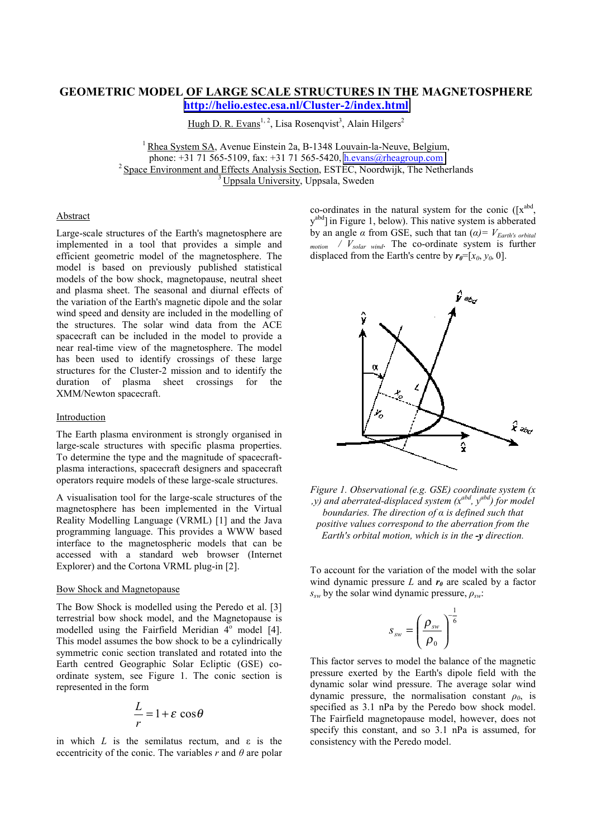# **GEOMETRIC MODEL OF LARGE SCALE STRUCTURES IN THE MAGNETOSPHERE <http://helio.estec.esa.nl/Cluster-2/index.html>**

Hugh D. R. Evans<sup>1, 2</sup>, Lisa Rosenqvist<sup>3</sup>, Alain Hilgers<sup>2</sup>

<sup>1</sup> Rhea System SA, Avenue Einstein 2a, B-1348 Louvain-la-Neuve, Belgium, phone: +31 71 565-5109, fax: +31 71 565-5420, h.evans@rheagroup.com  $\frac{1}{2}$  Space Environment and Effects Analysis Section, ESTEC, Noordwijk, The Netherlands  $\frac{3}{3}$  Uppsala University, Uppsala, Sweden

## Abstract

Large-scale structures of the Earth's magnetosphere are implemented in a tool that provides a simple and efficient geometric model of the magnetosphere. The model is based on previously published statistical models of the bow shock, magnetopause, neutral sheet and plasma sheet. The seasonal and diurnal effects of the variation of the Earth's magnetic dipole and the solar wind speed and density are included in the modelling of the structures. The solar wind data from the ACE spacecraft can be included in the model to provide a near real-time view of the magnetosphere. The model has been used to identify crossings of these large structures for the Cluster-2 mission and to identify the duration of plasma sheet crossings for the XMM/Newton spacecraft.

### Introduction

The Earth plasma environment is strongly organised in large-scale structures with specific plasma properties. To determine the type and the magnitude of spacecraftplasma interactions, spacecraft designers and spacecraft operators require models of these large-scale structures.

A visualisation tool for the large-scale structures of the magnetosphere has been implemented in the Virtual Reality Modelling Language (VRML) [1] and the Java programming language. This provides a WWW based interface to the magnetospheric models that can be accessed with a standard web browser (Internet Explorer) and the Cortona VRML plug-in [2].

#### Bow Shock and Magnetopause

The Bow Shock is modelled using the Peredo et al. [3] terrestrial bow shock model, and the Magnetopause is modelled using the Fairfield Meridian  $4^{\circ}$  model [4]. This model assumes the bow shock to be a cylindrically symmetric conic section translated and rotated into the Earth centred Geographic Solar Ecliptic (GSE) coordinate system, see Figure 1. The conic section is represented in the form

$$
\frac{L}{r} = 1 + \varepsilon \cos \theta
$$

in which  $L$  is the semilatus rectum, and  $\varepsilon$  is the eccentricity of the conic. The variables  $r$  and  $\theta$  are polar co-ordinates in the natural system for the conic  $([x^{abd},$ y<sup>abd</sup>] in Figure 1, below). This native system is abberated by an angle *α* from GSE, such that tan  $(α) = V_{Earth's orbital}$ *motion / Vsolar wind*. The co-ordinate system is further displaced from the Earth's centre by  $r_0 = [x_0, y_0, 0]$ .



*Figure 1. Observational (e.g. GSE) coordinate system (x ,y) and aberrated-displaced system (xabd , y abd) for model boundaries. The direction of α is defined such that positive values correspond to the aberration from the Earth's orbital motion, which is in the -y direction.*

To account for the variation of the model with the solar wind dynamic pressure  $L$  and  $r_0$  are scaled by a factor *ssw* by the solar wind dynamic pressure, *ρsw*:

$$
S_{_{SW}}=\left(\frac{\rho_{_{SW}}}{\rho_{_0}}\right)^{-\frac{1}{6}}
$$

This factor serves to model the balance of the magnetic pressure exerted by the Earth's dipole field with the dynamic solar wind pressure. The average solar wind dynamic pressure, the normalisation constant *ρ0*, is specified as 3.1 nPa by the Peredo bow shock model. The Fairfield magnetopause model, however, does not specify this constant, and so 3.1 nPa is assumed, for consistency with the Peredo model.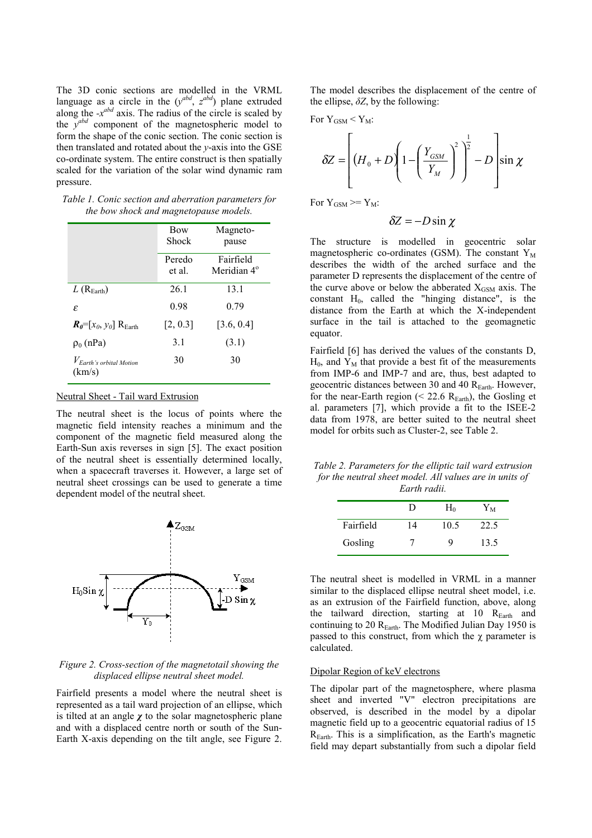The 3D conic sections are modelled in the VRML language as a circle in the  $(y^{abd}, z^{abd})$  plane extruded along the  $-x^{abd}$  axis. The radius of the circle is scaled by the *y*<sup>abd</sup> component of the magnetospheric model to form the shape of the conic section. The conic section is then translated and rotated about the *y*-axis into the GSE co-ordinate system. The entire construct is then spatially scaled for the variation of the solar wind dynamic ram pressure.

|                                              | $\cdot$          |                                      |
|----------------------------------------------|------------------|--------------------------------------|
|                                              | Bow<br>Shock     | Magneto-<br>pause                    |
|                                              | Peredo<br>et al. | Fairfield<br>Meridian 4 <sup>°</sup> |
| $L(R_{\text{Earth}})$                        | 26.1             | 13.1                                 |
| £.                                           | 0.98             | 0.79                                 |
| $R_{\theta} = [x_0, y_0]$ R <sub>Earth</sub> | [2, 0.3]         | [3.6, 0.4]                           |
| $\rho_0$ (nPa)                               | 3.1              | (3.1)                                |
| $V_{Earth}$ 's orbital Motion<br>(km/s)      | 30               | 30                                   |
|                                              |                  |                                      |

*Table 1. Conic section and aberration parameters for the bow shock and magnetopause models.*

### Neutral Sheet - Tail ward Extrusion

The neutral sheet is the locus of points where the magnetic field intensity reaches a minimum and the component of the magnetic field measured along the Earth-Sun axis reverses in sign [5]. The exact position of the neutral sheet is essentially determined locally, when a spacecraft traverses it. However, a large set of neutral sheet crossings can be used to generate a time dependent model of the neutral sheet.



### *Figure 2. Cross-section of the magnetotail showing the displaced ellipse neutral sheet model.*

Fairfield presents a model where the neutral sheet is represented as a tail ward projection of an ellipse, which is tilted at an angle *χ* to the solar magnetospheric plane and with a displaced centre north or south of the Sun-Earth X-axis depending on the tilt angle, see Figure 2. The model describes the displacement of the centre of the ellipse,  $\delta Z$ , by the following:

For  $Y_{GSM} < Y_M$ :

$$
\delta Z = \left[ \left( H_0 + D \left( 1 - \left( \frac{Y_{GSM}}{Y_M} \right)^2 \right)^{\frac{1}{2}} - D \right] \sin \chi
$$

For  $Y_{GSM} \geq Y_M$ :

$$
\delta Z = -D\sin\chi
$$

The structure is modelled in geocentric solar magnetospheric co-ordinates (GSM). The constant  $Y_M$ describes the width of the arched surface and the parameter D represents the displacement of the centre of the curve above or below the abberated  $X_{GSM}$  axis. The constant  $H_0$ , called the "hinging distance", is the distance from the Earth at which the X-independent surface in the tail is attached to the geomagnetic equator.

Fairfield [6] has derived the values of the constants D,  $H_0$ , and  $Y_M$  that provide a best fit of the measurements from IMP-6 and IMP-7 and are, thus, best adapted to geocentric distances between 30 and 40 R<sub>Earth</sub>. However, for the near-Earth region ( $<$  22.6 R<sub>Earth</sub>), the Gosling et al. parameters [7], which provide a fit to the ISEE-2 data from 1978, are better suited to the neutral sheet model for orbits such as Cluster-2, see Table 2.

*Table 2. Parameters for the elliptic tail ward extrusion for the neutral sheet model. All values are in units of Earth radii.*

|           | Ð  | $\rm H_0$ | Yм   |
|-----------|----|-----------|------|
| Fairfield | 14 | 10.5      | 22.5 |
| Gosling   |    |           | 13.5 |

The neutral sheet is modelled in VRML in a manner similar to the displaced ellipse neutral sheet model, i.e. as an extrusion of the Fairfield function, above, along the tailward direction, starting at  $10$   $R_{Earth}$  and continuing to 20  $R_{Earth}$ . The Modified Julian Day 1950 is passed to this construct, from which the  $\chi$  parameter is calculated.

### Dipolar Region of keV electrons

The dipolar part of the magnetosphere, where plasma sheet and inverted "V" electron precipitations are observed, is described in the model by a dipolar magnetic field up to a geocentric equatorial radius of 15 REarth. This is a simplification, as the Earth's magnetic field may depart substantially from such a dipolar field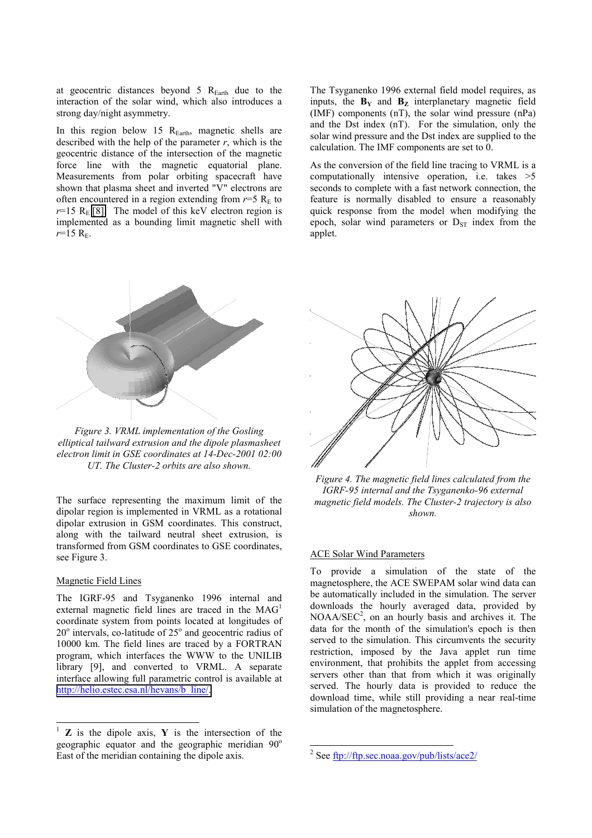at geocentric distances beyond  $5 R_{Earth}$  due to the interaction of the solar wind, which also introduces a strong day/night asymmetry.

In this region below 15  $R<sub>Earth</sub>$ , magnetic shells are described with the help of the parameter  $r$ , which is the geocentric distance of the intersection of the magnetic force line with the magnetic equatorial plane. Measurements from polar orbiting spacecraft have shown that plasma sheet and inverted "V" electrons are often encountered in a region extending from  $r=5$  R<sub>E</sub> to  $r=15$  R<sub>E</sub> [\[8\].](#page-5-0) The model of this keV electron region is implemented as a bounding limit magnetic shell with  $r=15$  R<sub>E</sub>.

*Figure 3. VRML implementation of the Gosling elliptical tailward extrusion and the dipole plasmasheet electron limit in GSE coordinates at 14-Dec-2001 02:00 UT. The Cluster-2 orbits are also shown.*

The surface representing the maximum limit of the dipolar region is implemented in VRML as a rotational dipolar extrusion in GSM coordinates. This construct, along with the tailward neutral sheet extrusion, is transformed from GSM coordinates to GSE coordinates, see Figure 3.

### Magnetic Field Lines

 $\overline{a}$ 

The IGRF-95 and Tsyganenko 1996 internal and external magnetic field lines are traced in the MAG<sup>1</sup> coordinate system from points located at longitudes of  $20^\circ$  intervals, co-latitude of  $25^\circ$  and geocentric radius of 10000 km. The field lines are traced by a FORTRAN program, which interfaces the WWW to the UNILIB library [9], and converted to VRML. A separate interface allowing full parametric control is available at [http://helio.estec.esa.nl/hevans/b\\_line/.](http://helio.estec.esa.nl/hevans/b_line/)

<sup>1</sup> **Z** is the dipole axis, **Y** is the intersection of the geographic equator and the geographic meridian  $90^\circ$ East of the meridian containing the dipole axis.

The Tsyganenko 1996 external field model requires, as inputs, the  $B_Y$  and  $B_Z$  interplanetary magnetic field (IMF) components (nT), the solar wind pressure (nPa) and the Dst index (nT). For the simulation, only the solar wind pressure and the Dst index are supplied to the calculation. The IMF components are set to 0.

As the conversion of the field line tracing to VRML is a computationally intensive operation, i.e. takes >5 seconds to complete with a fast network connection, the feature is normally disabled to ensure a reasonably quick response from the model when modifying the epoch, solar wind parameters or  $D_{ST}$  index from the applet.



*Figure 4. The magnetic field lines calculated from the IGRF-95 internal and the Tsyganenko-96 external magnetic field models. The Cluster-2 trajectory is also shown.*

## ACE Solar Wind Parameters

To provide a simulation of the state of the magnetosphere, the ACE SWEPAM solar wind data can be automatically included in the simulation. The server downloads the hourly averaged data, provided by  $NOAA/SEC<sup>2</sup>$ , on an hourly basis and archives it. The data for the month of the simulation's epoch is then served to the simulation. This circumvents the security restriction, imposed by the Java applet run time environment, that prohibits the applet from accessing servers other than that from which it was originally served. The hourly data is provided to reduce the download time, while still providing a near real-time simulation of the magnetosphere.

l <sup>2</sup> See <u>ftp://ftp.sec.noaa.gov/pub/lists/ace2/</u>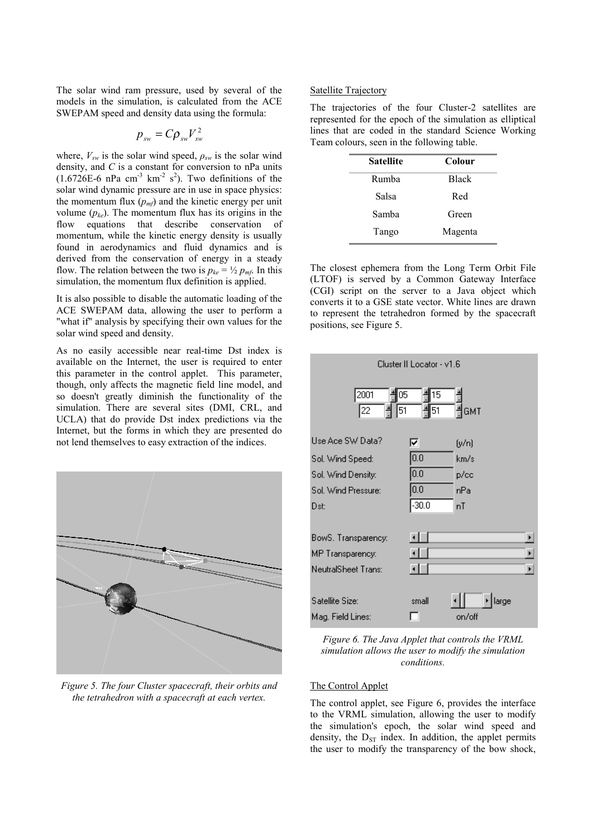The solar wind ram pressure, used by several of the models in the simulation, is calculated from the ACE SWEPAM speed and density data using the formula:

$$
p_{\scriptscriptstyle sw} = C \rho_{\scriptscriptstyle sw} V_{\scriptscriptstyle sw}^2
$$

where,  $V_{sw}$  is the solar wind speed,  $\rho_{sw}$  is the solar wind density, and *C* is a constant for conversion to nPa units  $(1.6726E-6)$  nPa cm<sup>-3</sup> km<sup>-2</sup> s<sup>2</sup>). Two definitions of the solar wind dynamic pressure are in use in space physics: the momentum flux  $(p_{\text{m}f})$  and the kinetic energy per unit volume  $(p_{ke})$ . The momentum flux has its origins in the flow equations that describe conservation of momentum, while the kinetic energy density is usually found in aerodynamics and fluid dynamics and is derived from the conservation of energy in a steady flow. The relation between the two is  $p_{k_e} = \frac{1}{2} p_{m_f}$ . In this simulation, the momentum flux definition is applied.

It is also possible to disable the automatic loading of the ACE SWEPAM data, allowing the user to perform a "what if" analysis by specifying their own values for the solar wind speed and density.

As no easily accessible near real-time Dst index is available on the Internet, the user is required to enter this parameter in the control applet. This parameter, though, only affects the magnetic field line model, and so doesn't greatly diminish the functionality of the simulation. There are several sites (DMI, CRL, and UCLA) that do provide Dst index predictions via the Internet, but the forms in which they are presented do not lend themselves to easy extraction of the indices.



*Figure 5. The four Cluster spacecraft, their orbits and the tetrahedron with a spacecraft at each vertex.*

## Satellite Trajectory

| The trajectories of the four Cluster-2 satellites are     |  |  |  |
|-----------------------------------------------------------|--|--|--|
| represented for the epoch of the simulation as elliptical |  |  |  |
| lines that are coded in the standard Science Working      |  |  |  |
| Team colours, seen in the following table.                |  |  |  |

| <b>Satellite</b> | Colour       |
|------------------|--------------|
| Rumba            | <b>Black</b> |
| Salsa            | Red          |
| Samba            | Green        |
| Tango            | Magenta      |

The closest ephemera from the Long Term Orbit File (LTOF) is served by a Common Gateway Interface (CGI) script on the server to a Java object which converts it to a GSE state vector. White lines are drawn to represent the tetrahedron formed by the spacecraft positions, see Figure 5.



*Figure 6. The Java Applet that controls the VRML simulation allows the user to modify the simulation conditions.*

### The Control Applet

The control applet, see Figure 6, provides the interface to the VRML simulation, allowing the user to modify the simulation's epoch, the solar wind speed and density, the  $D_{ST}$  index. In addition, the applet permits the user to modify the transparency of the bow shock,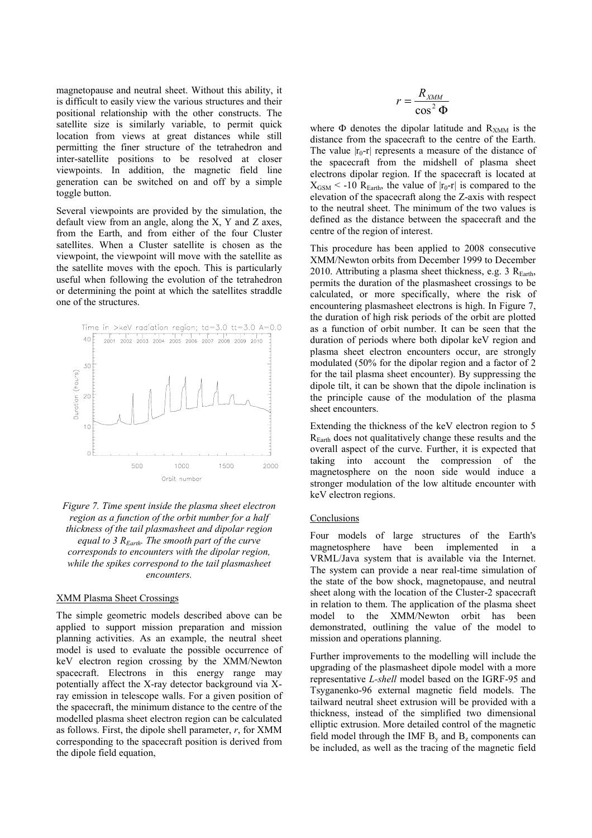magnetopause and neutral sheet. Without this ability, it is difficult to easily view the various structures and their positional relationship with the other constructs. The satellite size is similarly variable, to permit quick location from views at great distances while still permitting the finer structure of the tetrahedron and inter-satellite positions to be resolved at closer viewpoints. In addition, the magnetic field line generation can be switched on and off by a simple toggle button.

Several viewpoints are provided by the simulation, the default view from an angle, along the X, Y and Z axes, from the Earth, and from either of the four Cluster satellites. When a Cluster satellite is chosen as the viewpoint, the viewpoint will move with the satellite as the satellite moves with the epoch. This is particularly useful when following the evolution of the tetrahedron or determining the point at which the satellites straddle one of the structures.



*Figure 7. Time spent inside the plasma sheet electron region as a function of the orbit number for a half thickness of the tail plasmasheet and dipolar region equal to 3 REarth. The smooth part of the curve corresponds to encounters with the dipolar region, while the spikes correspond to the tail plasmasheet encounters.*

### XMM Plasma Sheet Crossings

The simple geometric models described above can be applied to support mission preparation and mission planning activities. As an example, the neutral sheet model is used to evaluate the possible occurrence of keV electron region crossing by the XMM/Newton spacecraft. Electrons in this energy range may potentially affect the X-ray detector background via Xray emission in telescope walls. For a given position of the spacecraft, the minimum distance to the centre of the modelled plasma sheet electron region can be calculated as follows. First, the dipole shell parameter, *r*, for XMM corresponding to the spacecraft position is derived from the dipole field equation,

$$
r = \frac{R_{xMM}}{\cos^2 \Phi}
$$

where  $\Phi$  denotes the dipolar latitude and  $R_{XMM}$  is the distance from the spacecraft to the centre of the Earth. The value  $|r_0-r|$  represents a measure of the distance of the spacecraft from the midshell of plasma sheet electrons dipolar region. If the spacecraft is located at  $X_{\text{GSM}}$  < -10 R<sub>Earth</sub>, the value of  $|r_0-r|$  is compared to the elevation of the spacecraft along the Z-axis with respect to the neutral sheet. The minimum of the two values is defined as the distance between the spacecraft and the centre of the region of interest.

This procedure has been applied to 2008 consecutive XMM/Newton orbits from December 1999 to December 2010. Attributing a plasma sheet thickness, e.g. 3  $R_{Earth}$ , permits the duration of the plasmasheet crossings to be calculated, or more specifically, where the risk of encountering plasmasheet electrons is high. In Figure 7, the duration of high risk periods of the orbit are plotted as a function of orbit number. It can be seen that the duration of periods where both dipolar keV region and plasma sheet electron encounters occur, are strongly modulated (50% for the dipolar region and a factor of 2 for the tail plasma sheet encounter). By suppressing the dipole tilt, it can be shown that the dipole inclination is the principle cause of the modulation of the plasma sheet encounters.

Extending the thickness of the keV electron region to 5  $R<sub>Earth</sub>$  does not qualitatively change these results and the overall aspect of the curve. Further, it is expected that taking into account the compression of the magnetosphere on the noon side would induce a stronger modulation of the low altitude encounter with keV electron regions.

#### Conclusions

Four models of large structures of the Earth's magnetosphere have been implemented in a VRML/Java system that is available via the Internet. The system can provide a near real-time simulation of the state of the bow shock, magnetopause, and neutral sheet along with the location of the Cluster-2 spacecraft in relation to them. The application of the plasma sheet model to the XMM/Newton orbit has been demonstrated, outlining the value of the model to mission and operations planning.

Further improvements to the modelling will include the upgrading of the plasmasheet dipole model with a more representative *L-shell* model based on the IGRF-95 and Tsyganenko-96 external magnetic field models. The tailward neutral sheet extrusion will be provided with a thickness, instead of the simplified two dimensional elliptic extrusion. More detailed control of the magnetic field model through the IMF  $B<sub>v</sub>$  and  $B<sub>z</sub>$  components can be included, as well as the tracing of the magnetic field